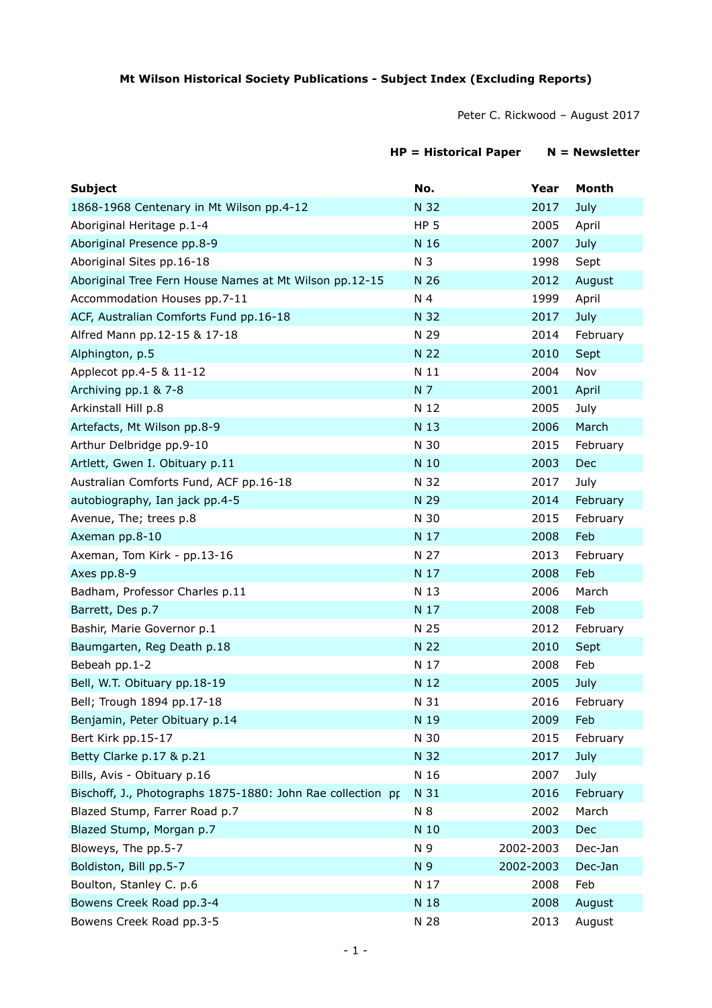## **Mt Wilson Historical Society Publications - Subject Index (Excluding Reports)**

Peter C. Rickwood – August 2017

## **HP = Historical Paper N = Newsletter**

| <b>Subject</b>                                              | No.             | Year      | Month    |
|-------------------------------------------------------------|-----------------|-----------|----------|
| 1868-1968 Centenary in Mt Wilson pp.4-12                    | N 32            | 2017      | July     |
| Aboriginal Heritage p.1-4                                   | HP <sub>5</sub> | 2005      | April    |
| Aboriginal Presence pp.8-9                                  | N 16            | 2007      | July     |
| Aboriginal Sites pp.16-18                                   | N <sub>3</sub>  | 1998      | Sept     |
| Aboriginal Tree Fern House Names at Mt Wilson pp.12-15      | N 26            | 2012      | August   |
| Accommodation Houses pp.7-11                                | N 4             | 1999      | April    |
| ACF, Australian Comforts Fund pp.16-18                      | N 32            | 2017      | July     |
| Alfred Mann pp.12-15 & 17-18                                | N 29            | 2014      | February |
| Alphington, p.5                                             | N 22            | 2010      | Sept     |
| Applecot pp.4-5 & 11-12                                     | N 11            | 2004      | Nov      |
| Archiving pp.1 & 7-8                                        | N 7             | 2001      | April    |
| Arkinstall Hill p.8                                         | N 12            | 2005      | July     |
| Artefacts, Mt Wilson pp.8-9                                 | N 13            | 2006      | March    |
| Arthur Delbridge pp.9-10                                    | N 30            | 2015      | February |
| Artlett, Gwen I. Obituary p.11                              | N 10            | 2003      | Dec      |
| Australian Comforts Fund, ACF pp.16-18                      | N 32            | 2017      | July     |
| autobiography, Ian jack pp.4-5                              | N 29            | 2014      | February |
| Avenue, The; trees p.8                                      | N 30            | 2015      | February |
| Axeman pp.8-10                                              | N 17            | 2008      | Feb      |
| Axeman, Tom Kirk - pp.13-16                                 | N 27            | 2013      | February |
| Axes pp.8-9                                                 | N 17            | 2008      | Feb      |
| Badham, Professor Charles p.11                              | N 13            | 2006      | March    |
| Barrett, Des p.7                                            | N 17            | 2008      | Feb      |
| Bashir, Marie Governor p.1                                  | N 25            | 2012      | February |
| Baumgarten, Reg Death p.18                                  | N 22            | 2010      | Sept     |
| Bebeah pp.1-2                                               | N 17            | 2008      | Feb      |
| Bell, W.T. Obituary pp.18-19                                | N 12            | 2005      | July     |
| Bell; Trough 1894 pp.17-18                                  | N 31            | 2016      | February |
| Benjamin, Peter Obituary p.14                               | N 19            | 2009      | Feb      |
| Bert Kirk pp.15-17                                          | N 30            | 2015      | February |
| Betty Clarke p.17 & p.21                                    | N 32            | 2017      | July     |
| Bills, Avis - Obituary p.16                                 | N 16            | 2007      | July     |
| Bischoff, J., Photographs 1875-1880: John Rae collection pr | N 31            | 2016      | February |
| Blazed Stump, Farrer Road p.7                               | N 8             | 2002      | March    |
| Blazed Stump, Morgan p.7                                    | N 10            | 2003      | Dec      |
| Bloweys, The pp.5-7                                         | N 9             | 2002-2003 | Dec-Jan  |
| Boldiston, Bill pp.5-7                                      | N 9             | 2002-2003 | Dec-Jan  |
| Boulton, Stanley C. p.6                                     | N 17            | 2008      | Feb      |
| Bowens Creek Road pp.3-4                                    | N 18            | 2008      | August   |
| Bowens Creek Road pp.3-5                                    | N 28            | 2013      | August   |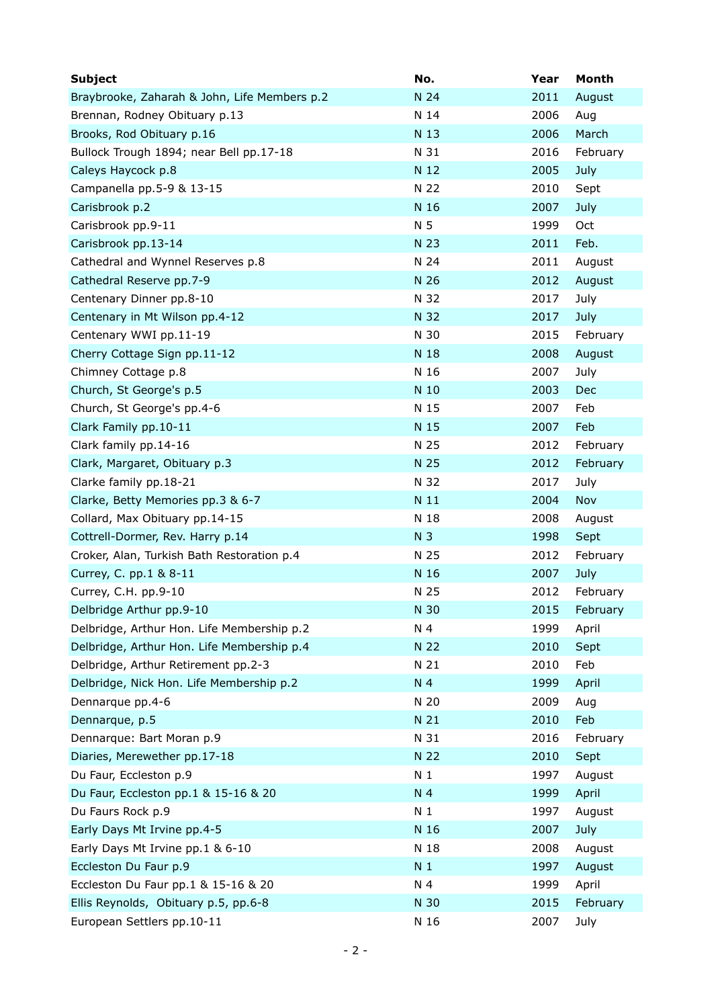| <b>Subject</b>                               | No.            | Year | Month      |
|----------------------------------------------|----------------|------|------------|
| Braybrooke, Zaharah & John, Life Members p.2 | N 24           | 2011 | August     |
| Brennan, Rodney Obituary p.13                | N 14           | 2006 | Aug        |
| Brooks, Rod Obituary p.16                    | N 13           | 2006 | March      |
| Bullock Trough 1894; near Bell pp.17-18      | N 31           | 2016 | February   |
| Caleys Haycock p.8                           | N 12           | 2005 | July       |
| Campanella pp.5-9 & 13-15                    | N 22           | 2010 | Sept       |
| Carisbrook p.2                               | N 16           | 2007 | July       |
| Carisbrook pp.9-11                           | N 5            | 1999 | <b>Oct</b> |
| Carisbrook pp.13-14                          | N 23           | 2011 | Feb.       |
| Cathedral and Wynnel Reserves p.8            | N 24           | 2011 | August     |
| Cathedral Reserve pp.7-9                     | N 26           | 2012 | August     |
| Centenary Dinner pp.8-10                     | N 32           | 2017 | July       |
| Centenary in Mt Wilson pp.4-12               | N 32           | 2017 | July       |
| Centenary WWI pp.11-19                       | N 30           | 2015 | February   |
| Cherry Cottage Sign pp.11-12                 | N 18           | 2008 | August     |
| Chimney Cottage p.8                          | N 16           | 2007 | July       |
| Church, St George's p.5                      | N 10           | 2003 | Dec        |
| Church, St George's pp.4-6                   | N 15           | 2007 | Feb        |
| Clark Family pp.10-11                        | N 15           | 2007 | Feb        |
| Clark family pp.14-16                        | N 25           | 2012 | February   |
| Clark, Margaret, Obituary p.3                | N 25           | 2012 | February   |
| Clarke family pp.18-21                       | N 32           | 2017 | July       |
| Clarke, Betty Memories pp.3 & 6-7            | N 11           | 2004 | Nov        |
| Collard, Max Obituary pp.14-15               | N 18           | 2008 | August     |
| Cottrell-Dormer, Rev. Harry p.14             | N <sub>3</sub> | 1998 | Sept       |
| Croker, Alan, Turkish Bath Restoration p.4   | N 25           | 2012 | February   |
| Currey, C. pp.1 & 8-11                       | N 16           | 2007 | July       |
| Currey, C.H. pp.9-10                         | N 25           | 2012 | February   |
| Delbridge Arthur pp.9-10                     | N 30           | 2015 | February   |
| Delbridge, Arthur Hon. Life Membership p.2   | N 4            | 1999 | April      |
| Delbridge, Arthur Hon. Life Membership p.4   | N 22           | 2010 | Sept       |
| Delbridge, Arthur Retirement pp.2-3          | N 21           | 2010 | Feb        |
| Delbridge, Nick Hon. Life Membership p.2     | N 4            | 1999 | April      |
| Dennarque pp.4-6                             | N 20           | 2009 | Aug        |
| Dennarque, p.5                               | N 21           | 2010 | Feb        |
| Dennarque: Bart Moran p.9                    | N 31           | 2016 | February   |
| Diaries, Merewether pp.17-18                 | N 22           | 2010 | Sept       |
| Du Faur, Eccleston p.9                       | N <sub>1</sub> | 1997 | August     |
| Du Faur, Eccleston pp.1 & 15-16 & 20         | N 4            | 1999 | April      |
| Du Faurs Rock p.9                            | N <sub>1</sub> | 1997 | August     |
| Early Days Mt Irvine pp.4-5                  | N 16           | 2007 | July       |
| Early Days Mt Irvine pp.1 & 6-10             | N 18           | 2008 | August     |
| Eccleston Du Faur p.9                        | N <sub>1</sub> | 1997 | August     |
| Eccleston Du Faur pp.1 & 15-16 & 20          | N 4            | 1999 | April      |
| Ellis Reynolds, Obituary p.5, pp.6-8         | N 30           | 2015 | February   |
| European Settlers pp.10-11                   | N 16           | 2007 | July       |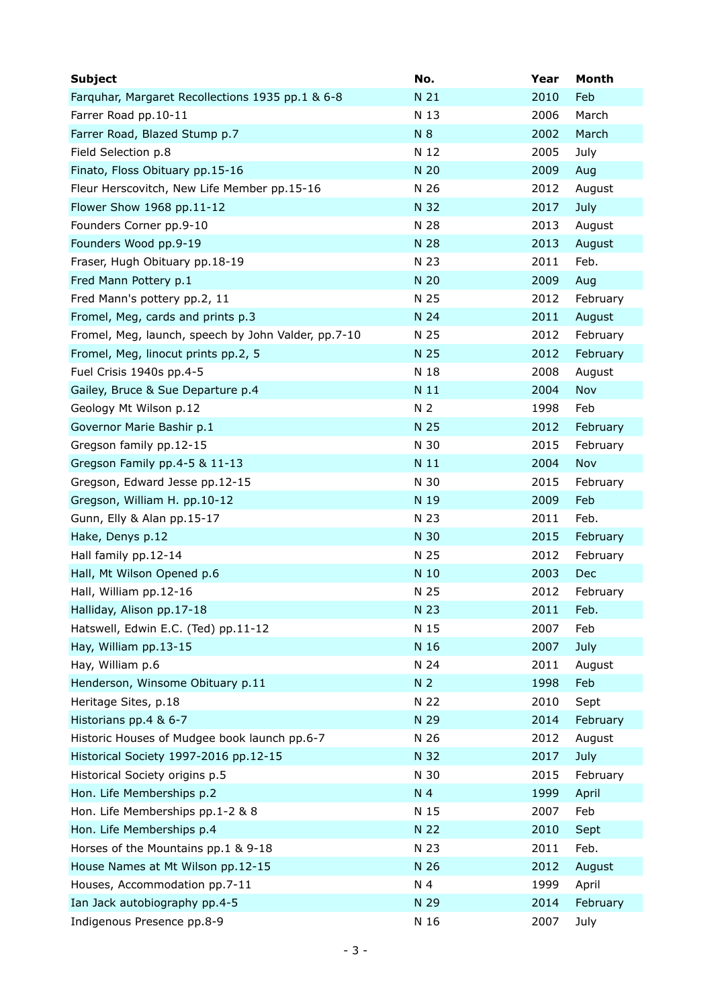| <b>Subject</b>                                      | No.            | Year | Month    |
|-----------------------------------------------------|----------------|------|----------|
| Farquhar, Margaret Recollections 1935 pp.1 & 6-8    | N 21           | 2010 | Feb      |
| Farrer Road pp.10-11                                | N 13           | 2006 | March    |
| Farrer Road, Blazed Stump p.7                       | N 8            | 2002 | March    |
| Field Selection p.8                                 | N 12           | 2005 | July     |
| Finato, Floss Obituary pp.15-16                     | N 20           | 2009 | Aug      |
| Fleur Herscovitch, New Life Member pp.15-16         | N 26           | 2012 | August   |
| Flower Show 1968 pp.11-12                           | N 32           | 2017 | July     |
| Founders Corner pp.9-10                             | N 28           | 2013 | August   |
| Founders Wood pp.9-19                               | N 28           | 2013 | August   |
| Fraser, Hugh Obituary pp.18-19                      | N 23           | 2011 | Feb.     |
| Fred Mann Pottery p.1                               | N 20           | 2009 | Aug      |
| Fred Mann's pottery pp.2, 11                        | N 25           | 2012 | February |
| Fromel, Meg, cards and prints p.3                   | N 24           | 2011 | August   |
| Fromel, Meg, launch, speech by John Valder, pp.7-10 | N 25           | 2012 | February |
| Fromel, Meg, linocut prints pp.2, 5                 | N 25           | 2012 | February |
| Fuel Crisis 1940s pp.4-5                            | N 18           | 2008 | August   |
| Gailey, Bruce & Sue Departure p.4                   | N 11           | 2004 | Nov      |
| Geology Mt Wilson p.12                              | N <sub>2</sub> | 1998 | Feb      |
| Governor Marie Bashir p.1                           | N 25           | 2012 | February |
| Gregson family pp.12-15                             | N 30           | 2015 | February |
| Gregson Family pp.4-5 & 11-13                       | N 11           | 2004 | Nov      |
| Gregson, Edward Jesse pp.12-15                      | N 30           | 2015 | February |
| Gregson, William H. pp.10-12                        | N 19           | 2009 | Feb      |
| Gunn, Elly & Alan pp.15-17                          | N 23           | 2011 | Feb.     |
| Hake, Denys p.12                                    | N 30           | 2015 | February |
| Hall family pp.12-14                                | N 25           | 2012 | February |
| Hall, Mt Wilson Opened p.6                          | N 10           | 2003 | Dec      |
| Hall, William pp.12-16                              | N 25           | 2012 | February |
| Halliday, Alison pp.17-18                           | N 23           | 2011 | Feb.     |
| Hatswell, Edwin E.C. (Ted) pp.11-12                 | N 15           | 2007 | Feb      |
| Hay, William pp.13-15                               | N 16           | 2007 | July     |
| Hay, William p.6                                    | N 24           | 2011 | August   |
| Henderson, Winsome Obituary p.11                    | N <sub>2</sub> | 1998 | Feb      |
| Heritage Sites, p.18                                | N 22           | 2010 | Sept     |
| Historians pp.4 & 6-7                               | N 29           | 2014 | February |
| Historic Houses of Mudgee book launch pp.6-7        | N 26           | 2012 | August   |
| Historical Society 1997-2016 pp.12-15               | N 32           | 2017 | July     |
| Historical Society origins p.5                      | N 30           | 2015 | February |
| Hon. Life Memberships p.2                           | N 4            | 1999 | April    |
| Hon. Life Memberships pp.1-2 & 8                    | N 15           | 2007 | Feb      |
| Hon. Life Memberships p.4                           | N 22           | 2010 | Sept     |
| Horses of the Mountains pp.1 & 9-18                 | N 23           | 2011 | Feb.     |
| House Names at Mt Wilson pp.12-15                   | N 26           | 2012 | August   |
| Houses, Accommodation pp.7-11                       | N 4            | 1999 | April    |
| Ian Jack autobiography pp.4-5                       | N 29           | 2014 | February |
| Indigenous Presence pp.8-9                          | N 16           | 2007 | July     |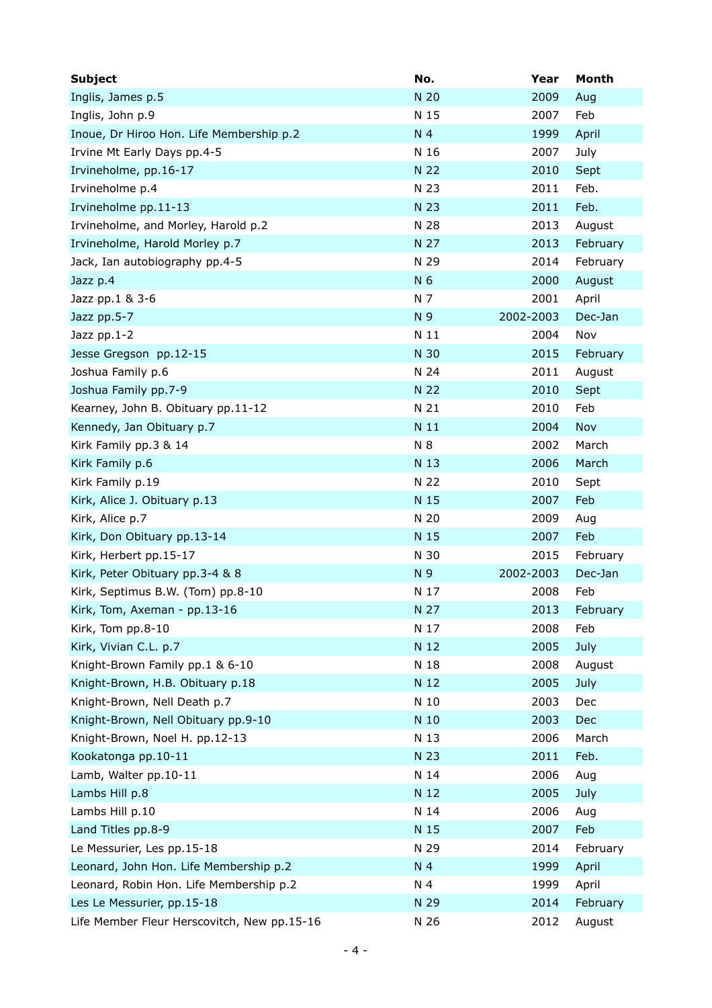| <b>Subject</b>                              | No.            | Year      | Month    |
|---------------------------------------------|----------------|-----------|----------|
| Inglis, James p.5                           | N 20           | 2009      | Aug      |
| Inglis, John p.9                            | N 15           | 2007      | Feb      |
| Inoue, Dr Hiroo Hon. Life Membership p.2    | N <sub>4</sub> | 1999      | April    |
| Irvine Mt Early Days pp.4-5                 | N 16           | 2007      | July     |
| Irvineholme, pp.16-17                       | N 22           | 2010      | Sept     |
| Irvineholme p.4                             | N 23           | 2011      | Feb.     |
| Irvineholme pp.11-13                        | N 23           | 2011      | Feb.     |
| Irvineholme, and Morley, Harold p.2         | N 28           | 2013      | August   |
| Irvineholme, Harold Morley p.7              | N 27           | 2013      | February |
| Jack, Ian autobiography pp.4-5              | N 29           | 2014      | February |
| Jazz p.4                                    | N 6            | 2000      | August   |
| Jazz pp.1 & 3-6                             | N 7            | 2001      | April    |
| Jazz pp.5-7                                 | N 9            | 2002-2003 | Dec-Jan  |
| Jazz pp.1-2                                 | N 11           | 2004      | Nov      |
| Jesse Gregson pp.12-15                      | N 30           | 2015      | February |
| Joshua Family p.6                           | N 24           | 2011      | August   |
| Joshua Family pp.7-9                        | N 22           | 2010      | Sept     |
| Kearney, John B. Obituary pp.11-12          | N 21           | 2010      | Feb      |
| Kennedy, Jan Obituary p.7                   | N 11           | 2004      | Nov      |
| Kirk Family pp.3 & 14                       | N 8            | 2002      | March    |
| Kirk Family p.6                             | N 13           | 2006      | March    |
| Kirk Family p.19                            | N 22           | 2010      | Sept     |
| Kirk, Alice J. Obituary p.13                | N 15           | 2007      | Feb      |
| Kirk, Alice p.7                             | N 20           | 2009      | Aug      |
| Kirk, Don Obituary pp.13-14                 | N 15           | 2007      | Feb      |
| Kirk, Herbert pp.15-17                      | N 30           | 2015      | February |
| Kirk, Peter Obituary pp.3-4 & 8             | N 9            | 2002-2003 | Dec-Jan  |
| Kirk, Septimus B.W. (Tom) pp.8-10           | N 17           | 2008      | Feb      |
| Kirk, Tom, Axeman - pp.13-16                | N 27           | 2013      | February |
| Kirk, Tom pp.8-10                           | N 17           | 2008      | Feb      |
| Kirk, Vivian C.L. p.7                       | N 12           | 2005      | July     |
| Knight-Brown Family pp.1 & 6-10             | N 18           | 2008      | August   |
| Knight-Brown, H.B. Obituary p.18            | N 12           | 2005      | July     |
| Knight-Brown, Nell Death p.7                | N 10           | 2003      | Dec      |
| Knight-Brown, Nell Obituary pp.9-10         | N 10           | 2003      | Dec      |
| Knight-Brown, Noel H. pp.12-13              | N 13           | 2006      | March    |
| Kookatonga pp.10-11                         | N 23           | 2011      | Feb.     |
| Lamb, Walter pp.10-11                       | N 14           | 2006      | Aug      |
| Lambs Hill p.8                              | N 12           | 2005      | July     |
| Lambs Hill p.10                             | N 14           | 2006      | Aug      |
| Land Titles pp.8-9                          | N 15           | 2007      | Feb      |
| Le Messurier, Les pp.15-18                  | N 29           | 2014      | February |
| Leonard, John Hon. Life Membership p.2      | N 4            | 1999      | April    |
| Leonard, Robin Hon. Life Membership p.2     | N 4            | 1999      | April    |
| Les Le Messurier, pp.15-18                  | N 29           | 2014      | February |
| Life Member Fleur Herscovitch, New pp.15-16 | N 26           | 2012      | August   |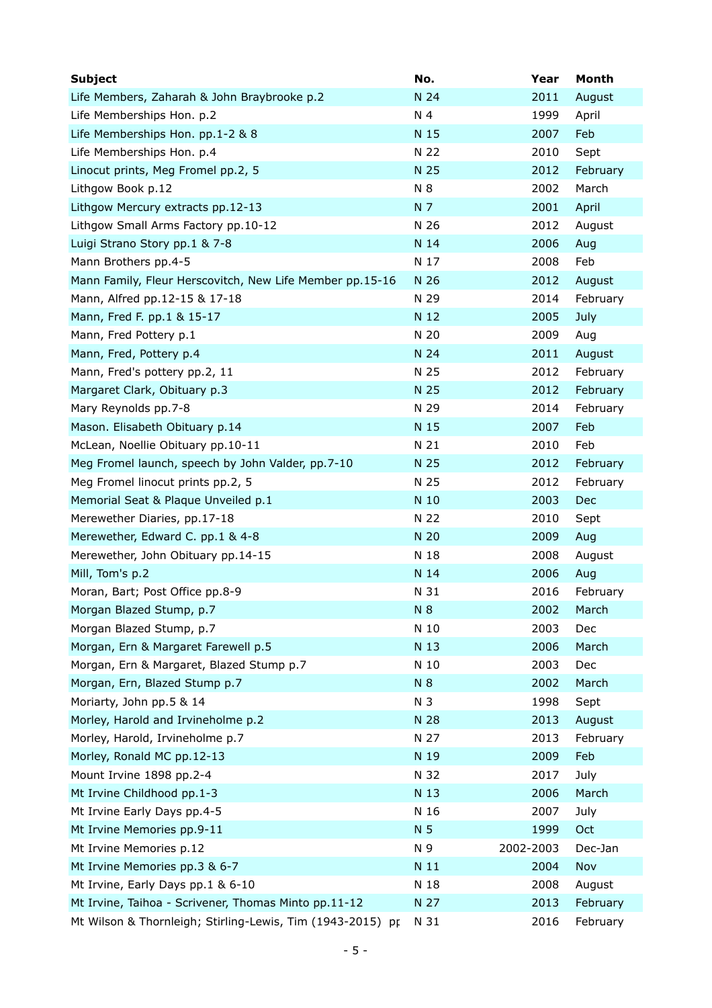| <b>Subject</b>                                             | No.  | Year      | Month      |
|------------------------------------------------------------|------|-----------|------------|
| Life Members, Zaharah & John Braybrooke p.2                | N 24 | 2011      | August     |
| Life Memberships Hon. p.2                                  | N 4  | 1999      | April      |
| Life Memberships Hon. pp.1-2 & 8                           | N 15 | 2007      | Feb        |
| Life Memberships Hon. p.4                                  | N 22 | 2010      | Sept       |
| Linocut prints, Meg Fromel pp.2, 5                         | N 25 | 2012      | February   |
| Lithgow Book p.12                                          | N 8  | 2002      | March      |
| Lithgow Mercury extracts pp.12-13                          | N 7  | 2001      | April      |
| Lithgow Small Arms Factory pp.10-12                        | N 26 | 2012      | August     |
| Luigi Strano Story pp.1 & 7-8                              | N 14 | 2006      | Aug        |
| Mann Brothers pp.4-5                                       | N 17 | 2008      | Feb        |
| Mann Family, Fleur Herscovitch, New Life Member pp.15-16   | N 26 | 2012      | August     |
| Mann, Alfred pp.12-15 & 17-18                              | N 29 | 2014      | February   |
| Mann, Fred F. pp.1 & 15-17                                 | N 12 | 2005      | July       |
| Mann, Fred Pottery p.1                                     | N 20 | 2009      | Aug        |
| Mann, Fred, Pottery p.4                                    | N 24 | 2011      | August     |
| Mann, Fred's pottery pp.2, 11                              | N 25 | 2012      | February   |
| Margaret Clark, Obituary p.3                               | N 25 | 2012      | February   |
| Mary Reynolds pp.7-8                                       | N 29 | 2014      | February   |
| Mason. Elisabeth Obituary p.14                             | N 15 | 2007      | Feb        |
| McLean, Noellie Obituary pp.10-11                          | N 21 | 2010      | Feb        |
| Meg Fromel launch, speech by John Valder, pp.7-10          | N 25 | 2012      | February   |
| Meg Fromel linocut prints pp.2, 5                          | N 25 | 2012      | February   |
| Memorial Seat & Plaque Unveiled p.1                        | N 10 | 2003      | <b>Dec</b> |
| Merewether Diaries, pp.17-18                               | N 22 | 2010      | Sept       |
| Merewether, Edward C. pp.1 & 4-8                           | N 20 | 2009      | Aug        |
| Merewether, John Obituary pp.14-15                         | N 18 | 2008      | August     |
| Mill, Tom's p.2                                            | N 14 | 2006      | Aug        |
| Moran, Bart; Post Office pp.8-9                            | N 31 | 2016      | February   |
| Morgan Blazed Stump, p.7                                   | N 8  | 2002      | March      |
| Morgan Blazed Stump, p.7                                   | N 10 | 2003      | Dec        |
| Morgan, Ern & Margaret Farewell p.5                        | N 13 | 2006      | March      |
| Morgan, Ern & Margaret, Blazed Stump p.7                   | N 10 | 2003      | Dec        |
| Morgan, Ern, Blazed Stump p.7                              | N 8  | 2002      | March      |
| Moriarty, John pp.5 & 14                                   | N 3  | 1998      | Sept       |
| Morley, Harold and Irvineholme p.2                         | N 28 | 2013      | August     |
| Morley, Harold, Irvineholme p.7                            | N 27 | 2013      | February   |
| Morley, Ronald MC pp.12-13                                 | N 19 | 2009      | Feb        |
| Mount Irvine 1898 pp.2-4                                   | N 32 | 2017      | July       |
| Mt Irvine Childhood pp.1-3                                 | N 13 | 2006      | March      |
| Mt Irvine Early Days pp.4-5                                | N 16 | 2007      | July       |
| Mt Irvine Memories pp.9-11                                 | N 5  | 1999      | Oct        |
| Mt Irvine Memories p.12                                    | N 9  | 2002-2003 | Dec-Jan    |
| Mt Irvine Memories pp.3 & 6-7                              | N 11 | 2004      | Nov        |
| Mt Irvine, Early Days pp.1 & 6-10                          | N 18 | 2008      | August     |
| Mt Irvine, Taihoa - Scrivener, Thomas Minto pp.11-12       | N 27 | 2013      | February   |
| Mt Wilson & Thornleigh; Stirling-Lewis, Tim (1943-2015) pr | N 31 | 2016      | February   |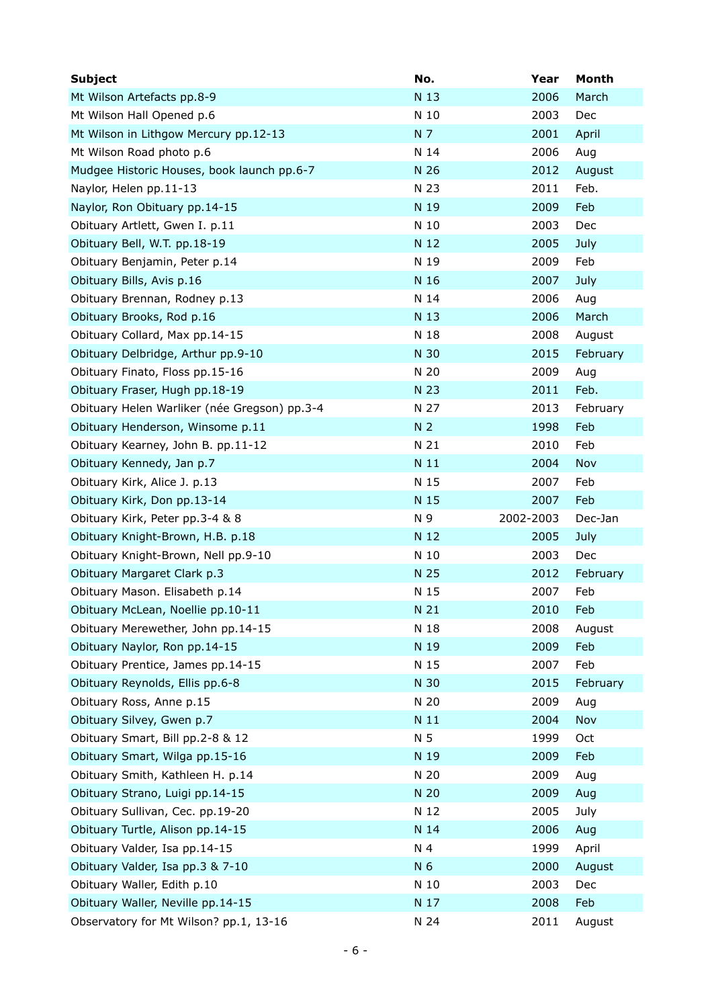| <b>Subject</b>                               | No.            | Year      | Month    |
|----------------------------------------------|----------------|-----------|----------|
| Mt Wilson Artefacts pp.8-9                   | N 13           | 2006      | March    |
| Mt Wilson Hall Opened p.6                    | N 10           | 2003      | Dec      |
| Mt Wilson in Lithgow Mercury pp.12-13        | N 7            | 2001      | April    |
| Mt Wilson Road photo p.6                     | N 14           | 2006      | Aug      |
| Mudgee Historic Houses, book launch pp.6-7   | N 26           | 2012      | August   |
| Naylor, Helen pp.11-13                       | N 23           | 2011      | Feb.     |
| Naylor, Ron Obituary pp.14-15                | N 19           | 2009      | Feb      |
| Obituary Artlett, Gwen I. p.11               | N 10           | 2003      | Dec      |
| Obituary Bell, W.T. pp.18-19                 | N 12           | 2005      | July     |
| Obituary Benjamin, Peter p.14                | N 19           | 2009      | Feb      |
| Obituary Bills, Avis p.16                    | N 16           | 2007      | July     |
| Obituary Brennan, Rodney p.13                | N 14           | 2006      | Aug      |
| Obituary Brooks, Rod p.16                    | N 13           | 2006      | March    |
| Obituary Collard, Max pp.14-15               | N 18           | 2008      | August   |
| Obituary Delbridge, Arthur pp.9-10           | N 30           | 2015      | February |
| Obituary Finato, Floss pp.15-16              | N 20           | 2009      | Aug      |
| Obituary Fraser, Hugh pp.18-19               | N 23           | 2011      | Feb.     |
| Obituary Helen Warliker (née Gregson) pp.3-4 | N 27           | 2013      | February |
| Obituary Henderson, Winsome p.11             | N <sub>2</sub> | 1998      | Feb      |
| Obituary Kearney, John B. pp.11-12           | N 21           | 2010      | Feb      |
| Obituary Kennedy, Jan p.7                    | N 11           | 2004      | Nov      |
| Obituary Kirk, Alice J. p.13                 | N 15           | 2007      | Feb      |
| Obituary Kirk, Don pp.13-14                  | N 15           | 2007      | Feb      |
| Obituary Kirk, Peter pp.3-4 & 8              | N 9            | 2002-2003 | Dec-Jan  |
| Obituary Knight-Brown, H.B. p.18             | N 12           | 2005      | July     |
| Obituary Knight-Brown, Nell pp.9-10          | N 10           | 2003      | Dec      |
| Obituary Margaret Clark p.3                  | N 25           | 2012      | February |
| Obituary Mason. Elisabeth p.14               | N 15           | 2007      | Feb      |
| Obituary McLean, Noellie pp.10-11            | N 21           | 2010      | Feb      |
| Obituary Merewether, John pp.14-15           | N 18           | 2008      | August   |
| Obituary Naylor, Ron pp.14-15                | N 19           | 2009      | Feb      |
| Obituary Prentice, James pp.14-15            |                |           |          |
|                                              | N 15           | 2007      | Feb      |
| Obituary Reynolds, Ellis pp.6-8              | N 30           | 2015      | February |
| Obituary Ross, Anne p.15                     | N 20           | 2009      | Aug      |
| Obituary Silvey, Gwen p.7                    | N 11           | 2004      | Nov      |
| Obituary Smart, Bill pp.2-8 & 12             | N 5            | 1999      | Oct      |
| Obituary Smart, Wilga pp.15-16               | N 19           | 2009      | Feb      |
| Obituary Smith, Kathleen H. p.14             | N 20           | 2009      | Aug      |
| Obituary Strano, Luigi pp.14-15              | N 20           | 2009      | Aug      |
| Obituary Sullivan, Cec. pp.19-20             | N 12           | 2005      | July     |
| Obituary Turtle, Alison pp.14-15             | N 14           | 2006      | Aug      |
| Obituary Valder, Isa pp.14-15                | N 4            | 1999      | April    |
| Obituary Valder, Isa pp.3 & 7-10             | N 6            | 2000      | August   |
| Obituary Waller, Edith p.10                  | N 10           | 2003      | Dec      |
| Obituary Waller, Neville pp.14-15            | N 17           | 2008      | Feb      |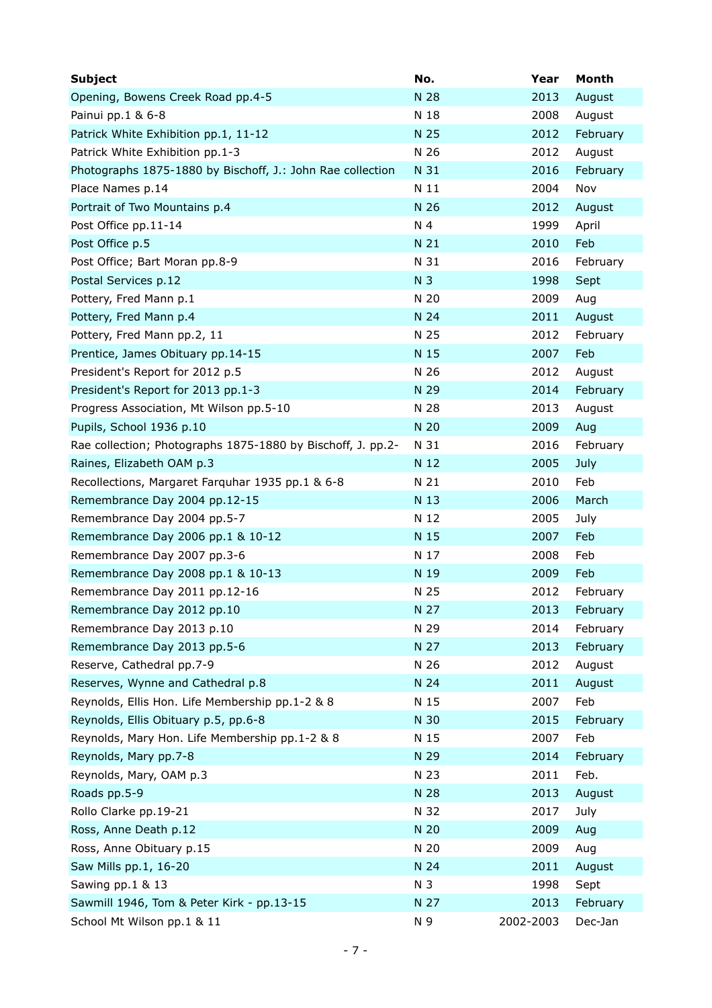| <b>Subject</b>                                              | No.            | Year      | Month    |
|-------------------------------------------------------------|----------------|-----------|----------|
| Opening, Bowens Creek Road pp.4-5                           | N 28           | 2013      | August   |
| Painui pp.1 & 6-8                                           | N 18           | 2008      | August   |
| Patrick White Exhibition pp.1, 11-12                        | N 25           | 2012      | February |
| Patrick White Exhibition pp.1-3                             | N 26           | 2012      | August   |
| Photographs 1875-1880 by Bischoff, J.: John Rae collection  | N 31           | 2016      | February |
| Place Names p.14                                            | N 11           | 2004      | Nov      |
| Portrait of Two Mountains p.4                               | N 26           | 2012      | August   |
| Post Office pp.11-14                                        | N 4            | 1999      | April    |
| Post Office p.5                                             | N 21           | 2010      | Feb      |
| Post Office; Bart Moran pp.8-9                              | N 31           | 2016      | February |
| Postal Services p.12                                        | N <sub>3</sub> | 1998      | Sept     |
| Pottery, Fred Mann p.1                                      | N 20           | 2009      | Aug      |
| Pottery, Fred Mann p.4                                      | N 24           | 2011      | August   |
| Pottery, Fred Mann pp.2, 11                                 | N 25           | 2012      | February |
| Prentice, James Obituary pp.14-15                           | N 15           | 2007      | Feb      |
| President's Report for 2012 p.5                             | N 26           | 2012      | August   |
| President's Report for 2013 pp.1-3                          | N 29           | 2014      | February |
| Progress Association, Mt Wilson pp.5-10                     | N 28           | 2013      | August   |
| Pupils, School 1936 p.10                                    | N 20           | 2009      | Aug      |
| Rae collection; Photographs 1875-1880 by Bischoff, J. pp.2- | N 31           | 2016      | February |
| Raines, Elizabeth OAM p.3                                   | N 12           | 2005      | July     |
| Recollections, Margaret Farquhar 1935 pp.1 & 6-8            | N 21           | 2010      | Feb      |
| Remembrance Day 2004 pp.12-15                               | N 13           | 2006      | March    |
| Remembrance Day 2004 pp.5-7                                 | N 12           | 2005      | July     |
| Remembrance Day 2006 pp.1 & 10-12                           | N 15           | 2007      | Feb      |
| Remembrance Day 2007 pp.3-6                                 | N 17           | 2008      | Feb      |
| Remembrance Day 2008 pp.1 & 10-13                           | N 19           | 2009      | Feb      |
| Remembrance Day 2011 pp.12-16                               | N 25           | 2012      | February |
| Remembrance Day 2012 pp.10                                  | N 27           | 2013      | February |
| Remembrance Day 2013 p.10                                   | N 29           | 2014      | February |
| Remembrance Day 2013 pp.5-6                                 | N 27           | 2013      | February |
| Reserve, Cathedral pp.7-9                                   | N 26           | 2012      | August   |
| Reserves, Wynne and Cathedral p.8                           | N 24           | 2011      | August   |
| Reynolds, Ellis Hon. Life Membership pp.1-2 & 8             | N 15           | 2007      | Feb      |
| Reynolds, Ellis Obituary p.5, pp.6-8                        | N 30           | 2015      | February |
| Reynolds, Mary Hon. Life Membership pp.1-2 & 8              | N 15           | 2007      | Feb      |
| Reynolds, Mary pp.7-8                                       | N 29           | 2014      | February |
| Reynolds, Mary, OAM p.3                                     | N 23           | 2011      | Feb.     |
| Roads pp.5-9                                                | N 28           | 2013      | August   |
| Rollo Clarke pp.19-21                                       | N 32           | 2017      | July     |
| Ross, Anne Death p.12                                       | N 20           | 2009      | Aug      |
| Ross, Anne Obituary p.15                                    | N 20           | 2009      | Aug      |
| Saw Mills pp.1, 16-20                                       | N 24           | 2011      | August   |
| Sawing pp.1 & 13                                            | N 3            | 1998      | Sept     |
| Sawmill 1946, Tom & Peter Kirk - pp.13-15                   | N 27           | 2013      | February |
| School Mt Wilson pp.1 & 11                                  | N 9            | 2002-2003 | Dec-Jan  |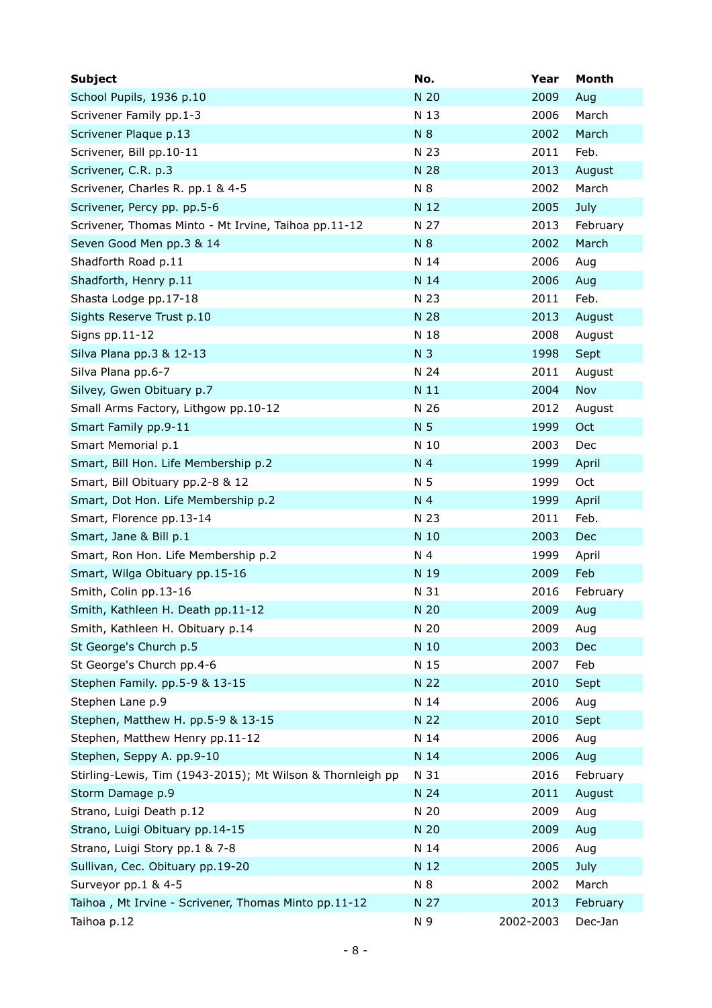| <b>Subject</b>                                             | No.            | Year      | Month      |
|------------------------------------------------------------|----------------|-----------|------------|
| School Pupils, 1936 p.10                                   | N 20           | 2009      | Aug        |
| Scrivener Family pp.1-3                                    | N 13           | 2006      | March      |
| Scrivener Plaque p.13                                      | N 8            | 2002      | March      |
| Scrivener, Bill pp.10-11                                   | N 23           | 2011      | Feb.       |
| Scrivener, C.R. p.3                                        | N 28           | 2013      | August     |
| Scrivener, Charles R. pp.1 & 4-5                           | N 8            | 2002      | March      |
| Scrivener, Percy pp. pp.5-6                                | N 12           | 2005      | July       |
| Scrivener, Thomas Minto - Mt Irvine, Taihoa pp.11-12       | N 27           | 2013      | February   |
| Seven Good Men pp.3 & 14                                   | N 8            | 2002      | March      |
| Shadforth Road p.11                                        | N 14           | 2006      | Aug        |
| Shadforth, Henry p.11                                      | N 14           | 2006      | Aug        |
| Shasta Lodge pp.17-18                                      | N 23           | 2011      | Feb.       |
| Sights Reserve Trust p.10                                  | N 28           | 2013      | August     |
| Signs pp.11-12                                             | N 18           | 2008      | August     |
| Silva Plana pp.3 & 12-13                                   | N <sub>3</sub> | 1998      | Sept       |
| Silva Plana pp.6-7                                         | N 24           | 2011      | August     |
| Silvey, Gwen Obituary p.7                                  | N 11           | 2004      | Nov        |
| Small Arms Factory, Lithgow pp.10-12                       | N 26           | 2012      | August     |
| Smart Family pp.9-11                                       | N 5            | 1999      | <b>Oct</b> |
| Smart Memorial p.1                                         | N 10           | 2003      | Dec        |
| Smart, Bill Hon. Life Membership p.2                       | N 4            | 1999      | April      |
| Smart, Bill Obituary pp.2-8 & 12                           | N 5            | 1999      | Oct        |
| Smart, Dot Hon. Life Membership p.2                        | N 4            | 1999      | April      |
| Smart, Florence pp.13-14                                   | N 23           | 2011      | Feb.       |
| Smart, Jane & Bill p.1                                     | N 10           | 2003      | Dec        |
| Smart, Ron Hon. Life Membership p.2                        | N 4            | 1999      | April      |
| Smart, Wilga Obituary pp.15-16                             | N 19           | 2009      | Feb        |
| Smith, Colin pp.13-16                                      | N 31           | 2016      | February   |
| Smith, Kathleen H. Death pp.11-12                          | N 20           | 2009      | Aug        |
| Smith, Kathleen H. Obituary p.14                           | N 20           | 2009      | Aug        |
| St George's Church p.5                                     | N 10           | 2003      | Dec        |
| St George's Church pp.4-6                                  | N 15           | 2007      | Feb        |
| Stephen Family. pp.5-9 & 13-15                             | N 22           | 2010      | Sept       |
| Stephen Lane p.9                                           | N 14           | 2006      | Aug        |
| Stephen, Matthew H. pp.5-9 & 13-15                         | N 22           | 2010      | Sept       |
| Stephen, Matthew Henry pp.11-12                            | N 14           | 2006      | Aug        |
| Stephen, Seppy A. pp.9-10                                  | N 14           | 2006      | Aug        |
| Stirling-Lewis, Tim (1943-2015); Mt Wilson & Thornleigh pp | N 31           | 2016      | February   |
| Storm Damage p.9                                           | N 24           | 2011      | August     |
| Strano, Luigi Death p.12                                   | N 20           | 2009      | Aug        |
| Strano, Luigi Obituary pp.14-15                            | N 20           | 2009      | Aug        |
| Strano, Luigi Story pp.1 & 7-8                             | N 14           | 2006      | Aug        |
| Sullivan, Cec. Obituary pp.19-20                           | N 12           | 2005      | July       |
| Surveyor pp.1 & 4-5                                        | N 8            | 2002      | March      |
| Taihoa, Mt Irvine - Scrivener, Thomas Minto pp.11-12       | N 27           | 2013      | February   |
| Taihoa p.12                                                | N 9            | 2002-2003 | Dec-Jan    |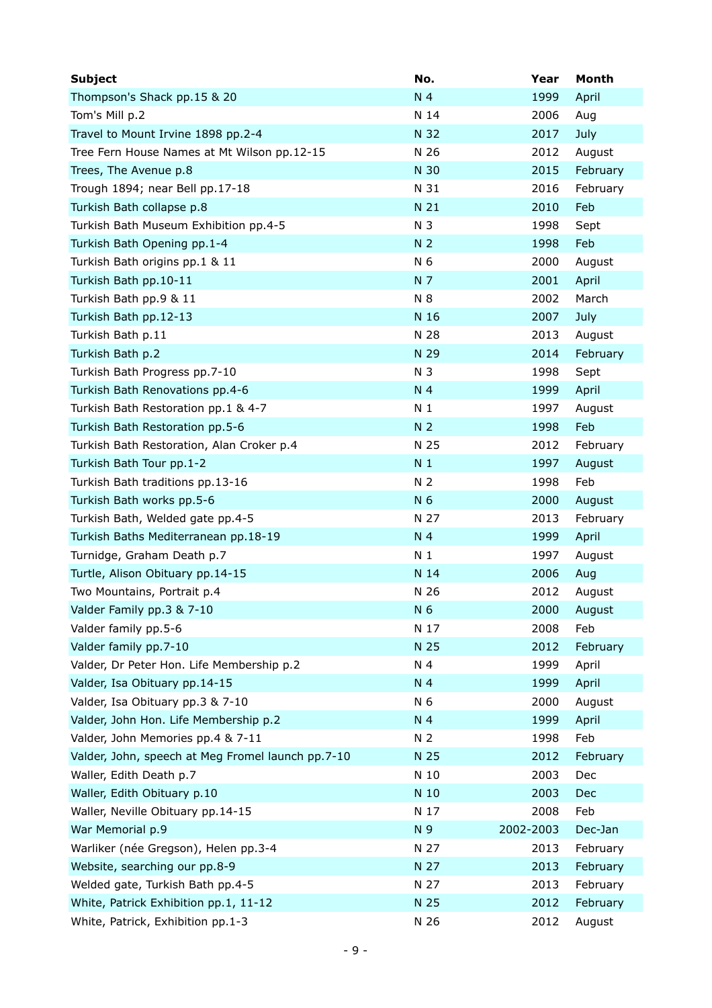| <b>Subject</b>                                    | No.            | Year      | Month    |
|---------------------------------------------------|----------------|-----------|----------|
| Thompson's Shack pp.15 & 20                       | N 4            | 1999      | April    |
| Tom's Mill p.2                                    | N 14           | 2006      | Aug      |
| Travel to Mount Irvine 1898 pp.2-4                | N 32           | 2017      | July     |
| Tree Fern House Names at Mt Wilson pp.12-15       | N 26           | 2012      | August   |
| Trees, The Avenue p.8                             | N 30           | 2015      | February |
| Trough 1894; near Bell pp.17-18                   | N 31           | 2016      | February |
| Turkish Bath collapse p.8                         | N 21           | 2010      | Feb      |
| Turkish Bath Museum Exhibition pp.4-5             | N 3            | 1998      | Sept     |
| Turkish Bath Opening pp.1-4                       | N <sub>2</sub> | 1998      | Feb      |
| Turkish Bath origins pp.1 & 11                    | N 6            | 2000      | August   |
| Turkish Bath pp.10-11                             | N 7            | 2001      | April    |
| Turkish Bath pp.9 & 11                            | N 8            | 2002      | March    |
| Turkish Bath pp.12-13                             | N 16           | 2007      | July     |
| Turkish Bath p.11                                 | N 28           | 2013      | August   |
| Turkish Bath p.2                                  | N 29           | 2014      | February |
| Turkish Bath Progress pp.7-10                     | N 3            | 1998      | Sept     |
| Turkish Bath Renovations pp.4-6                   | N 4            | 1999      | April    |
| Turkish Bath Restoration pp.1 & 4-7               | N <sub>1</sub> | 1997      | August   |
| Turkish Bath Restoration pp.5-6                   | N <sub>2</sub> | 1998      | Feb      |
| Turkish Bath Restoration, Alan Croker p.4         | N 25           | 2012      | February |
| Turkish Bath Tour pp.1-2                          | N <sub>1</sub> | 1997      | August   |
| Turkish Bath traditions pp.13-16                  | N <sub>2</sub> | 1998      | Feb      |
| Turkish Bath works pp.5-6                         | N 6            | 2000      | August   |
| Turkish Bath, Welded gate pp.4-5                  | N 27           | 2013      | February |
| Turkish Baths Mediterranean pp.18-19              | N 4            | 1999      | April    |
| Turnidge, Graham Death p.7                        | N <sub>1</sub> | 1997      | August   |
| Turtle, Alison Obituary pp.14-15                  | N 14           | 2006      | Aug      |
| Two Mountains, Portrait p.4                       | N 26           | 2012      | August   |
| Valder Family pp.3 & 7-10                         | N 6            | 2000      | August   |
| Valder family pp.5-6                              | N 17           | 2008      | Feb      |
| Valder family pp.7-10                             | N 25           | 2012      | February |
| Valder, Dr Peter Hon. Life Membership p.2         | N 4            | 1999      | April    |
| Valder, Isa Obituary pp.14-15                     | N 4            | 1999      | April    |
| Valder, Isa Obituary pp.3 & 7-10                  | N 6            | 2000      | August   |
| Valder, John Hon. Life Membership p.2             | N 4            | 1999      | April    |
| Valder, John Memories pp.4 & 7-11                 | N 2            | 1998      | Feb      |
| Valder, John, speech at Meg Fromel launch pp.7-10 | N 25           | 2012      | February |
| Waller, Edith Death p.7                           | N 10           | 2003      | Dec      |
| Waller, Edith Obituary p.10                       | N 10           | 2003      | Dec      |
| Waller, Neville Obituary pp.14-15                 | N 17           | 2008      | Feb      |
| War Memorial p.9                                  | N 9            | 2002-2003 | Dec-Jan  |
| Warliker (née Gregson), Helen pp.3-4              | N 27           | 2013      | February |
| Website, searching our pp.8-9                     | N 27           | 2013      | February |
| Welded gate, Turkish Bath pp.4-5                  | N 27           | 2013      | February |
| White, Patrick Exhibition pp.1, 11-12             | N 25           | 2012      | February |
| White, Patrick, Exhibition pp.1-3                 | N 26           | 2012      | August   |